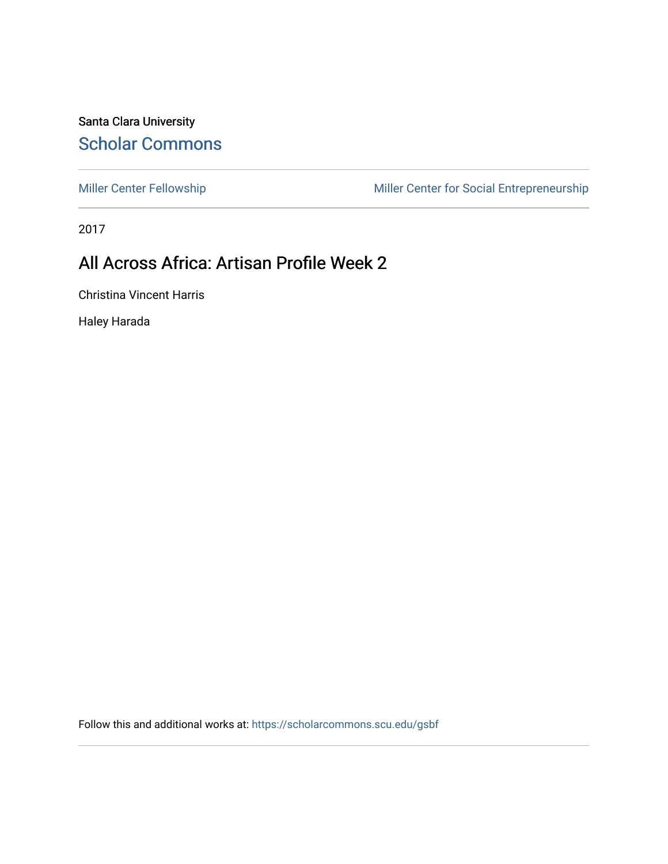Santa Clara University [Scholar Commons](https://scholarcommons.scu.edu/) 

[Miller Center Fellowship](https://scholarcommons.scu.edu/gsbf) Miller Center for Social Entrepreneurship

2017

# All Across Africa: Artisan Profile Week 2

Christina Vincent Harris

Haley Harada

Follow this and additional works at: [https://scholarcommons.scu.edu/gsbf](https://scholarcommons.scu.edu/gsbf?utm_source=scholarcommons.scu.edu%2Fgsbf%2F86&utm_medium=PDF&utm_campaign=PDFCoverPages)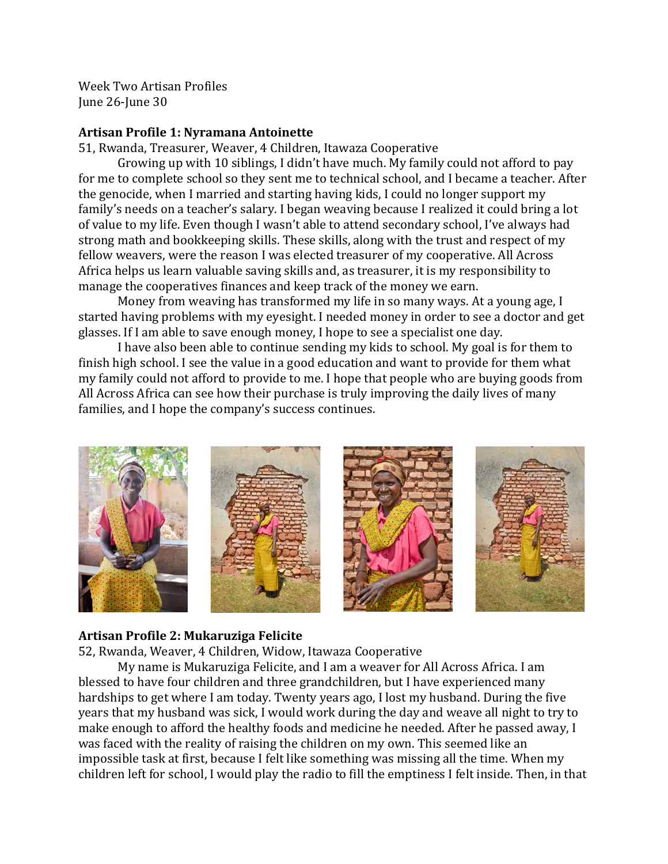Week Two Artisan Profiles June 26-June 30

#### **Artisan Profile 1: Nyramana Antoinette**

51, Rwanda, Treasurer, Weaver, 4 Children, Itawaza Cooperative

Growing up with 10 siblings, I didn't have much. My family could not afford to pay for me to complete school so they sent me to technical school, and I became a teacher. After the genocide, when I married and starting having kids, I could no longer support my family's needs on a teacher's salary. I began weaving because I realized it could bring a lot of value to my life. Even though I wasn't able to attend secondary school, I've always had strong math and bookkeeping skills. These skills, along with the trust and respect of my fellow weavers, were the reason I was elected treasurer of my cooperative. All Across Africa helps us learn valuable saving skills and, as treasurer, it is my responsibility to manage the cooperatives finances and keep track of the money we earn.

Money from weaving has transformed my life in so many ways. At a young age, I started having problems with my eyesight. I needed money in order to see a doctor and get glasses. If I am able to save enough money, I hope to see a specialist one day.

I have also been able to continue sending my kids to school. My goal is for them to finish high school. I see the value in a good education and want to provide for them what my family could not afford to provide to me. I hope that people who are buying goods from All Across Africa can see how their purchase is truly improving the daily lives of many families, and I hope the company's success continues.



#### **Artisan Profile 2: Mukaruziga Felicite**

52, Rwanda, Weaver, 4 Children, Widow, Itawaza Cooperative

My name is Mukaruziga Felicite, and I am a weaver for All Across Africa. I am blessed to have four children and three grandchildren, but I have experienced many hardships to get where I am today. Twenty years ago, I lost my husband. During the five years that my husband was sick, I would work during the day and weave all night to try to make enough to afford the healthy foods and medicine he needed. After he passed away, I was faced with the reality of raising the children on my own. This seemed like an impossible task at first, because I felt like something was missing all the time. When my children left for school, I would play the radio to fill the emptiness I felt inside. Then, in that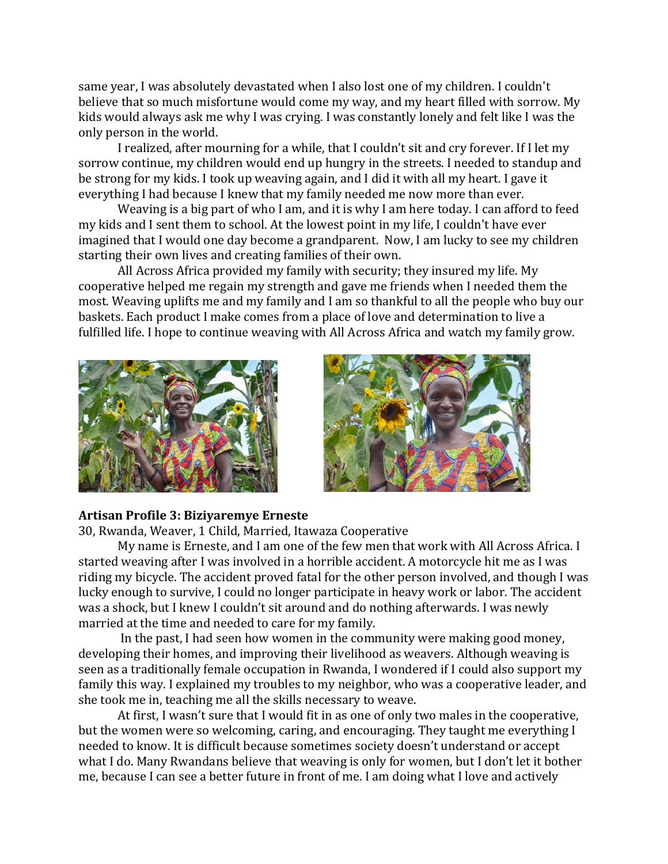same year, I was absolutely devastated when I also lost one of my children. I couldn't believe that so much misfortune would come my way, and my heart filled with sorrow. My kids would always ask me why I was crying. I was constantly lonely and felt like I was the only person in the world.

I realized, after mourning for a while, that I couldn't sit and cry forever. If I let my sorrow continue, my children would end up hungry in the streets. I needed to standup and be strong for my kids. I took up weaving again, and I did it with all my heart. I gave it everything I had because I knew that my family needed me now more than ever.

Weaving is a big part of who I am, and it is why I am here today. I can afford to feed my kids and I sent them to school. At the lowest point in my life, I couldn't have ever imagined that I would one day become a grandparent. Now, I am lucky to see my children starting their own lives and creating families of their own.

All Across Africa provided my family with security; they insured my life. My cooperative helped me regain my strength and gave me friends when I needed them the most. Weaving uplifts me and my family and I am so thankful to all the people who buy our baskets. Each product I make comes from a place of love and determination to live a fulfilled life. I hope to continue weaving with All Across Africa and watch my family grow.





#### **Artisan Profile 3: Biziyaremye Erneste**

30, Rwanda, Weaver, 1 Child, Married, Itawaza Cooperative

My name is Erneste, and I am one of the few men that work with All Across Africa. I started weaving after I was involved in a horrible accident. A motorcycle hit me as I was riding my bicycle. The accident proved fatal for the other person involved, and though I was lucky enough to survive, I could no longer participate in heavy work or labor. The accident was a shock, but I knew I couldn't sit around and do nothing afterwards. I was newly married at the time and needed to care for my family.

In the past, I had seen how women in the community were making good money, developing their homes, and improving their livelihood as weavers. Although weaving is seen as a traditionally female occupation in Rwanda, I wondered if I could also support my family this way. I explained my troubles to my neighbor, who was a cooperative leader, and she took me in, teaching me all the skills necessary to weave.

At first, I wasn't sure that I would fit in as one of only two males in the cooperative, but the women were so welcoming, caring, and encouraging. They taught me everything I needed to know. It is difficult because sometimes society doesn't understand or accept what I do. Many Rwandans believe that weaving is only for women, but I don't let it bother me, because I can see a better future in front of me. I am doing what I love and actively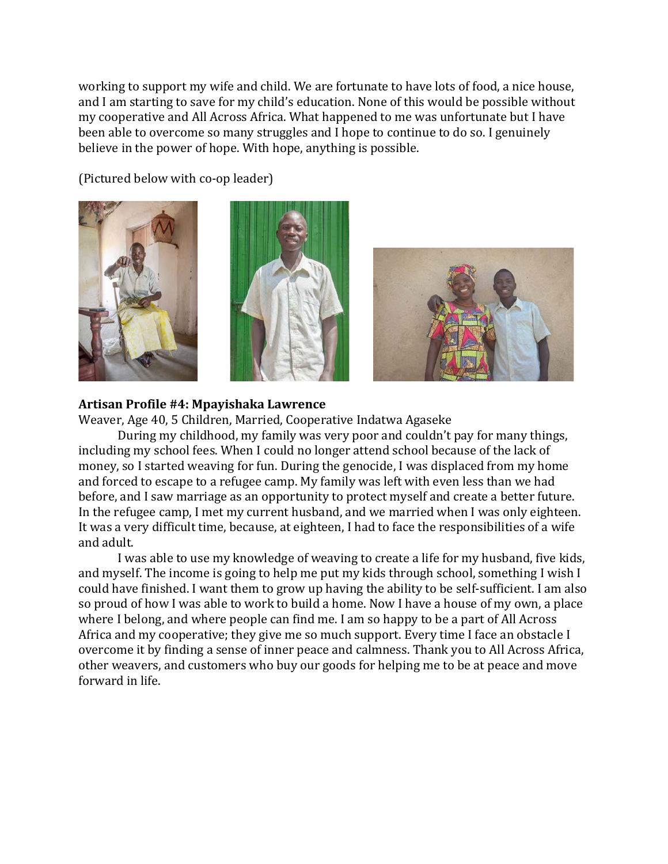working to support my wife and child. We are fortunate to have lots of food, a nice house, and I am starting to save for my child's education. None of this would be possible without my cooperative and All Across Africa. What happened to me was unfortunate but I have been able to overcome so many struggles and I hope to continue to do so. I genuinely believe in the power of hope. With hope, anything is possible.

(Pictured below with co-op leader)







### **Artisan Profile #4: Mpayishaka Lawrence**

Weaver, Age 40, 5 Children, Married, Cooperative Indatwa Agaseke

During my childhood, my family was very poor and couldn't pay for many things, including my school fees. When I could no longer attend school because of the lack of money, so I started weaving for fun. During the genocide, I was displaced from my home and forced to escape to a refugee camp. My family was left with even less than we had before, and I saw marriage as an opportunity to protect myself and create a better future. In the refugee camp, I met my current husband, and we married when I was only eighteen. It was a very difficult time, because, at eighteen, I had to face the responsibilities of a wife and adult.

I was able to use my knowledge of weaving to create a life for my husband, five kids, and myself. The income is going to help me put my kids through school, something I wish I could have finished. I want them to grow up having the ability to be self-sufficient. I am also so proud of how I was able to work to build a home. Now I have a house of my own, a place where I belong, and where people can find me. I am so happy to be a part of All Across Africa and my cooperative; they give me so much support. Every time I face an obstacle I overcome it by finding a sense of inner peace and calmness. Thank you to All Across Africa, other weavers, and customers who buy our goods for helping me to be at peace and move forward in life.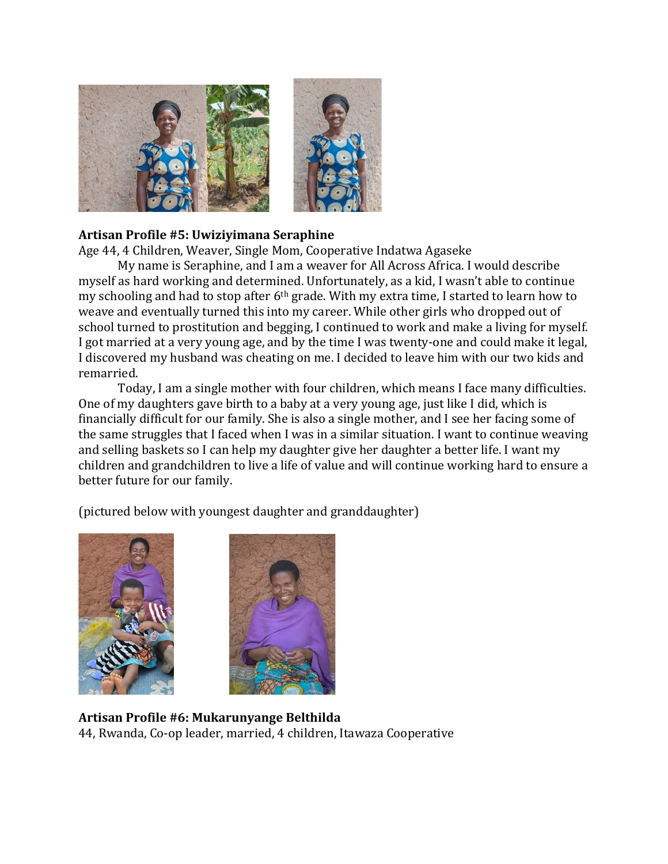

## **Artisan Profile #5: Uwiziyimana Seraphine**

Age 44, 4 Children, Weaver, Single Mom, Cooperative Indatwa Agaseke

My name is Seraphine, and I am a weaver for All Across Africa. I would describe myself as hard working and determined. Unfortunately, as a kid, I wasn't able to continue my schooling and had to stop after  $6<sup>th</sup>$  grade. With my extra time, I started to learn how to weave and eventually turned this into my career. While other girls who dropped out of school turned to prostitution and begging, I continued to work and make a living for myself. I got married at a very young age, and by the time I was twenty-one and could make it legal, I discovered my husband was cheating on me. I decided to leave him with our two kids and remarried. 

Today, I am a single mother with four children, which means I face many difficulties. One of my daughters gave birth to a baby at a very young age, just like I did, which is financially difficult for our family. She is also a single mother, and I see her facing some of the same struggles that I faced when I was in a similar situation. I want to continue weaving and selling baskets so I can help my daughter give her daughter a better life. I want my children and grandchildren to live a life of value and will continue working hard to ensure a better future for our family.

(pictured below with youngest daughter and granddaughter)





## **Artisan Profile #6: Mukarunyange Belthilda**  44, Rwanda, Co-op leader, married, 4 children, Itawaza Cooperative